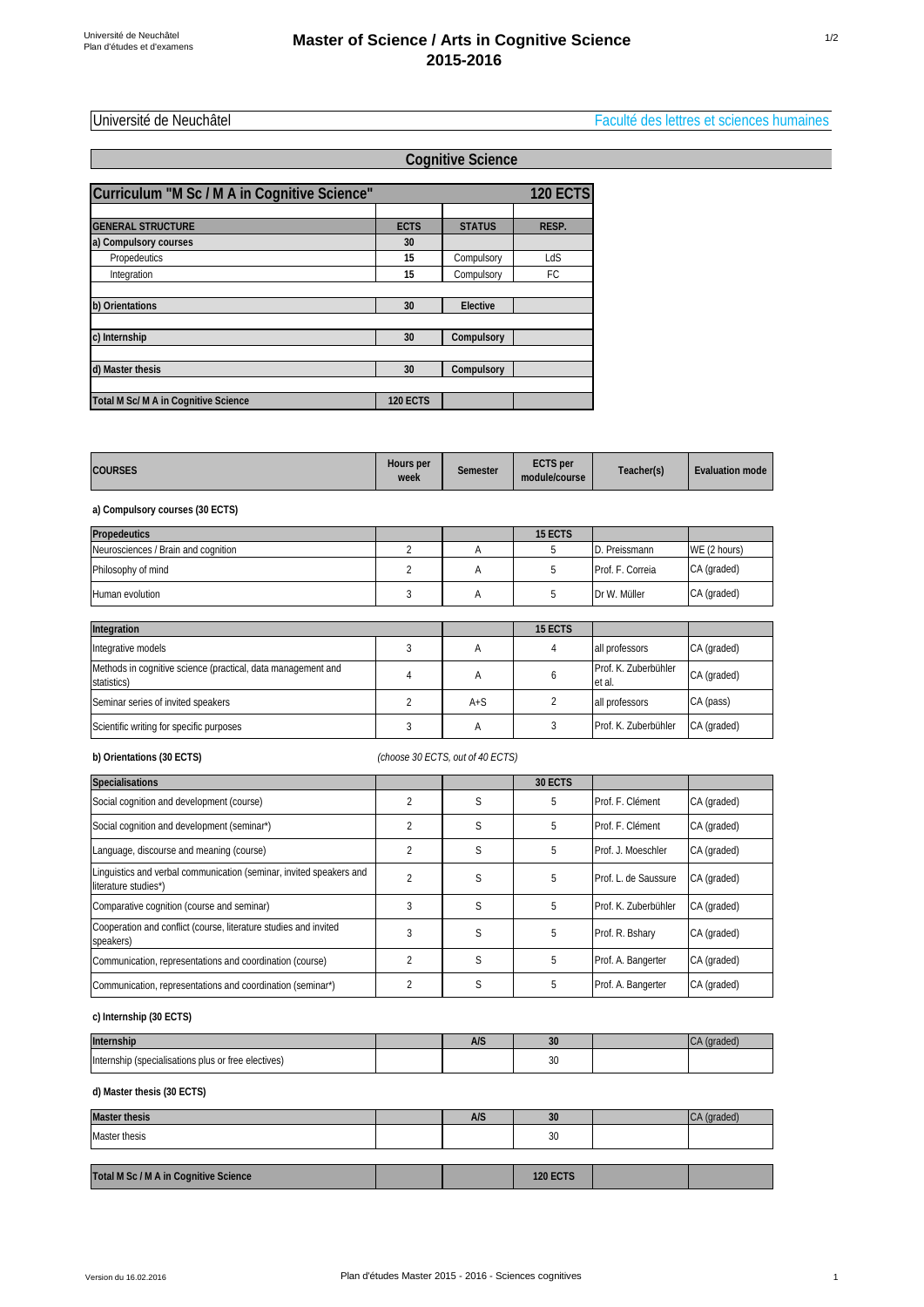Université de Neuchâtel Faculté des lettres et sciences humaines

1/2

|                                              | <b>Cognitive Science</b> |               |                 |  |  |  |  |
|----------------------------------------------|--------------------------|---------------|-----------------|--|--|--|--|
| Curriculum "M Sc / M A in Cognitive Science" |                          |               | <b>120 ECTS</b> |  |  |  |  |
|                                              |                          |               |                 |  |  |  |  |
| <b>GENERAL STRUCTURE</b>                     | <b>ECTS</b>              | <b>STATUS</b> | RESP.           |  |  |  |  |
| a) Compulsory courses                        | 30                       |               |                 |  |  |  |  |
| Propedeutics                                 | 15                       | Compulsory    | LdS             |  |  |  |  |
| Integration                                  | 15                       | Compulsory    | FC.             |  |  |  |  |
|                                              |                          |               |                 |  |  |  |  |
| b) Orientations                              | 30                       | Elective      |                 |  |  |  |  |
| c) Internship                                | 30                       | Compulsory    |                 |  |  |  |  |
|                                              |                          |               |                 |  |  |  |  |
| d) Master thesis                             | 30                       | Compulsory    |                 |  |  |  |  |
|                                              |                          |               |                 |  |  |  |  |
| Total M Sc/ M A in Cognitive Science         | <b>120 ECTS</b>          |               |                 |  |  |  |  |

| <b>COURSES</b> | Hours per<br>week | Semester | <b>ECTS</b> per<br>module/course | Teacher(s) | Evaluation mode |
|----------------|-------------------|----------|----------------------------------|------------|-----------------|
|----------------|-------------------|----------|----------------------------------|------------|-----------------|

**a) Compulsory courses (30 ECTS)**

| <b>Propedeutics</b>                                                         |                |         | 15 ECTS |                                |              |
|-----------------------------------------------------------------------------|----------------|---------|---------|--------------------------------|--------------|
| Neurosciences / Brain and cognition                                         | $\mathfrak{p}$ | А       | 5       | D. Preissmann                  | WE (2 hours) |
| Philosophy of mind                                                          |                | Α       | 5       | Prof. F. Correia               | CA (graded)  |
| Human evolution                                                             |                | Α       | 5       | Dr W. Müller                   | CA (graded)  |
|                                                                             |                |         |         |                                |              |
| Integration                                                                 |                |         | 15 ECTS |                                |              |
| Integrative models                                                          | 3              | A       | 4       | all professors                 | CA (graded)  |
| Methods in cognitive science (practical, data management and<br>statistics) | 4              | A       | 6       | Prof. K. Zuberbühler<br>et al. | CA (graded)  |
| Seminar series of invited speakers                                          | $\mathfrak{p}$ | $A + S$ | 2       | all professors                 | CA (pass)    |
| Scientific writing for specific purposes                                    |                | A       | 3       | Prof. K. Zuberbühler           | CA (graded)  |

# **b) Orientations (30 ECTS)**

l.

*(choose 30 ECTS, out of 40 ECTS)*

| <b>Specialisations</b>                                                                      |   |   | 30 ECTS |                      |             |
|---------------------------------------------------------------------------------------------|---|---|---------|----------------------|-------------|
| Social cognition and development (course)                                                   |   | S | 5       | Prof. F. Clément     | CA (graded) |
| Social cognition and development (seminar*)                                                 |   | S | 5       | Prof. F. Clément     | CA (graded) |
| Language, discourse and meaning (course)                                                    |   | S | 5       | Prof. J. Moeschler   | CA (graded) |
| Linguistics and verbal communication (seminar, invited speakers and<br>literature studies*) |   | S | 5       | Prof. L. de Saussure | CA (graded) |
| Comparative cognition (course and seminar)                                                  |   | S | 5       | Prof. K. Zuberbühler | CA (graded) |
| Cooperation and conflict (course, literature studies and invited<br>speakers)               | 3 | S | 5       | Prof. R. Bshary      | CA (graded) |
| Communication, representations and coordination (course)                                    |   | S | 5       | Prof. A. Bangerter   | CA (graded) |
| Communication, representations and coordination (seminar*)                                  |   | S | 5       | Prof. A. Bangerter   | CA (graded) |

# **c) Internship (30 ECTS)**

| Internship                                          | $\Lambda/\varsigma$<br>rv J | n<br><b>JU</b> | umaww |
|-----------------------------------------------------|-----------------------------|----------------|-------|
| Internship (specialisations plus or free electives) |                             | 30             |       |

## **d) Master thesis (30 ECTS)**

| <b>Master thesis</b>                  | <b>A/S</b> | 30              | ICA (graded) |
|---------------------------------------|------------|-----------------|--------------|
| Master thesis                         |            | 30              |              |
|                                       |            |                 |              |
| Total M Sc / M A in Cognitive Science |            | <b>120 ECTS</b> |              |